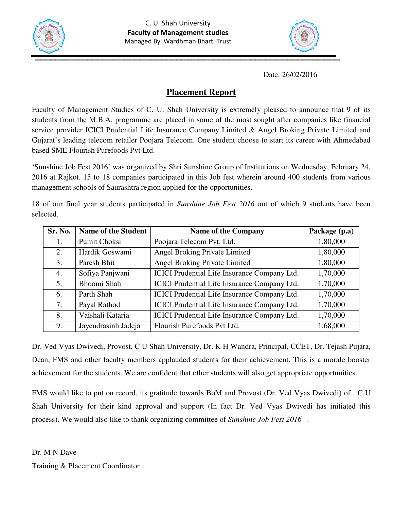



Date: 26/02/2016

## **Placement Report**

Faculty of Management Studies of C. U. Shah University is extremely pleased to announce that 9 of its students from the M.B.A. programme are placed in some of the most sought after companies like financial service provider ICICI Prudential Life Insurance Company Limited & Angel Broking Private Limited and Gujarat's leading telecom retailer Poojara Telecom. One student choose to start its career with Ahmedabad based SME Flourish Purefoods Pvt Ltd.

'Sunshine Job Fest 2016' was organized by Shri Sunshine Group of Institutions on Wednesday, February 24, 2016 at Rajkot. 15 to 18 companies participated in this Job fest wherein around 400 students from various management schools of Saurashtra region applied for the opportunities.

18 of our final year students participated in *Sunshine Job Fest 2016* out of which 9 students have been selected.

| Sr. No. | <b>Name of the Student</b> | <b>Name of the Company</b>                          | Package (p.a) |
|---------|----------------------------|-----------------------------------------------------|---------------|
| 1.      | <b>Pumit Choksi</b>        | Poojara Telecom Pvt. Ltd.                           | 1,80,000      |
| 2.      | Hardik Goswami             | Angel Broking Private Limited                       | 1,80,000      |
| 3.      | Paresh Bhit                | Angel Broking Private Limited                       | 1,80,000      |
| 4.      | Sofiya Panjwani            | ICICI Prudential Life Insurance Company Ltd.        | 1,70,000      |
| 5.      | Bhoomi Shah                | <b>ICICI</b> Prudential Life Insurance Company Ltd. | 1,70,000      |
| 6.      | Parth Shah                 | <b>ICICI</b> Prudential Life Insurance Company Ltd. | 1,70,000      |
| 7.      | Payal Rathod               | <b>ICICI</b> Prudential Life Insurance Company Ltd. | 1,70,000      |
| 8.      | Vaishali Kataria           | ICICI Prudential Life Insurance Company Ltd.        | 1,70,000      |
| 9.      | Jayendrasinh Jadeja        | Flourish Purefoods Pvt Ltd.                         | 1,68,000      |

Dr. Ved Vyas Dwivedi, Provost, C U Shah University, Dr. K H Wandra, Principal, CCET, Dr. Tejash Pujara, Dean, FMS and other faculty members applauded students for their achievement. This is a morale booster achievement for the students. We are confident that other students will also get appropriate opportunities.

FMS would like to put on record, its gratitude towards BoM and Provost (Dr. Ved Vyas Dwivedi) of C U Shah University for their kind approval and support (In fact Dr. Ved Vyas Dwivedi has initiated this process). We would also like to thank organizing committee of *Sunshine Job Fest 2016* .